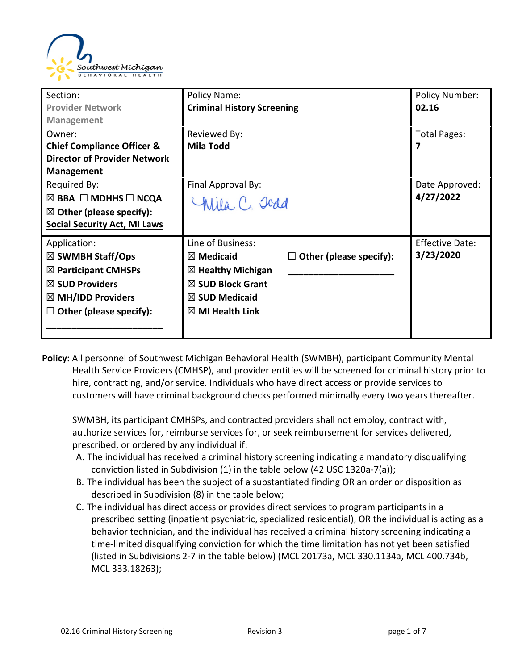

| Section:                                 | Policy Name:                                           | <b>Policy Number:</b>  |
|------------------------------------------|--------------------------------------------------------|------------------------|
| <b>Provider Network</b>                  | <b>Criminal History Screening</b>                      | 02.16                  |
| <b>Management</b>                        |                                                        |                        |
| Owner:                                   | Reviewed By:                                           | Total Pages:           |
| <b>Chief Compliance Officer &amp;</b>    | <b>Mila Todd</b>                                       | 7                      |
| <b>Director of Provider Network</b>      |                                                        |                        |
| <b>Management</b>                        |                                                        |                        |
| Required By:                             | Final Approval By:                                     | Date Approved:         |
| $\boxtimes$ BBA $\Box$ MDHHS $\Box$ NCQA | Chila, C. Joad                                         | 4/27/2022              |
| $\boxtimes$ Other (please specify):      |                                                        |                        |
| <b>Social Security Act, MI Laws</b>      |                                                        |                        |
| Application:                             | Line of Business:                                      | <b>Effective Date:</b> |
| $\boxtimes$ SWMBH Staff/Ops              | $\boxtimes$ Medicaid<br>$\Box$ Other (please specify): | 3/23/2020              |
| $\boxtimes$ Participant CMHSPs           | $\boxtimes$ Healthy Michigan                           |                        |
| $\boxtimes$ SUD Providers                | $\boxtimes$ SUD Block Grant                            |                        |
| $\boxtimes$ MH/IDD Providers             | $\boxtimes$ SUD Medicaid                               |                        |
| $\Box$ Other (please specify):           | $\boxtimes$ MI Health Link                             |                        |
|                                          |                                                        |                        |

**Policy:** All personnel of Southwest Michigan Behavioral Health (SWMBH), participant Community Mental Health Service Providers (CMHSP), and provider entities will be screened for criminal history prior to hire, contracting, and/or service. Individuals who have direct access or provide services to customers will have criminal background checks performed minimally every two years thereafter.

SWMBH, its participant CMHSPs, and contracted providers shall not employ, contract with, authorize services for, reimburse services for, or seek reimbursement for services delivered, prescribed, or ordered by any individual if:

- A. The individual has received a criminal history screening indicating a mandatory disqualifying conviction listed in Subdivision (1) in the table below (42 USC 1320a-7(a));
- B. The individual has been the subject of a substantiated finding OR an order or disposition as described in Subdivision (8) in the table below;
- C. The individual has direct access or provides direct services to program participants in a prescribed setting (inpatient psychiatric, specialized residential), OR the individual is acting as a behavior technician, and the individual has received a criminal history screening indicating a time-limited disqualifying conviction for which the time limitation has not yet been satisfied (listed in Subdivisions 2-7 in the table below) (MCL 20173a, MCL 330.1134a, MCL 400.734b, MCL 333.18263);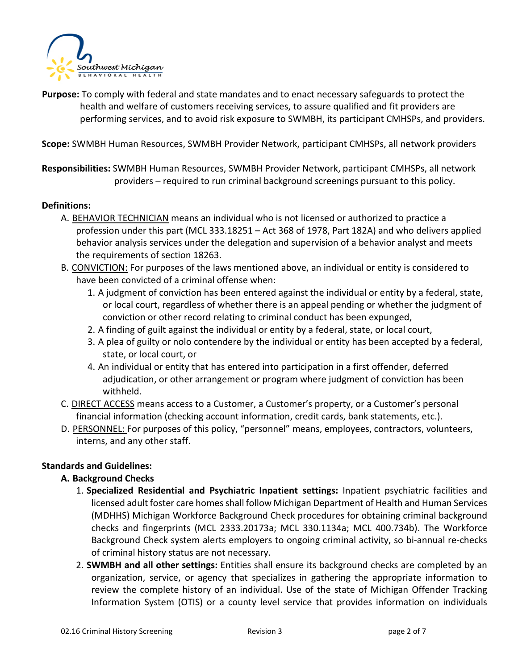

**Purpose:** To comply with federal and state mandates and to enact necessary safeguards to protect the health and welfare of customers receiving services, to assure qualified and fit providers are performing services, and to avoid risk exposure to SWMBH, its participant CMHSPs, and providers.

**Scope:** SWMBH Human Resources, SWMBH Provider Network, participant CMHSPs, all network providers

**Responsibilities:** SWMBH Human Resources, SWMBH Provider Network, participant CMHSPs, all network providers – required to run criminal background screenings pursuant to this policy.

#### **Definitions:**

- A. BEHAVIOR TECHNICIAN means an individual who is not licensed or authorized to practice a profession under this part (MCL 333.18251 – Act 368 of 1978, Part 182A) and who delivers applied behavior analysis services under the delegation and supervision of a behavior analyst and meets the requirements of section 18263.
- B. CONVICTION: For purposes of the laws mentioned above, an individual or entity is considered to have been convicted of a criminal offense when:
	- 1. A judgment of conviction has been entered against the individual or entity by a federal, state, or local court, regardless of whether there is an appeal pending or whether the judgment of conviction or other record relating to criminal conduct has been expunged,
	- 2. A finding of guilt against the individual or entity by a federal, state, or local court,
	- 3. A plea of guilty or nolo contendere by the individual or entity has been accepted by a federal, state, or local court, or
	- 4. An individual or entity that has entered into participation in a first offender, deferred adjudication, or other arrangement or program where judgment of conviction has been withheld.
- C. DIRECT ACCESS means access to a Customer, a Customer's property, or a Customer's personal financial information (checking account information, credit cards, bank statements, etc.).
- D. PERSONNEL: For purposes of this policy, "personnel" means, employees, contractors, volunteers, interns, and any other staff.

#### **Standards and Guidelines:**

#### **A. Background Checks**

- 1. **Specialized Residential and Psychiatric Inpatient settings:** Inpatient psychiatric facilities and licensed adult foster care homes shall follow Michigan Department of Health and Human Services (MDHHS) Michigan Workforce Background Check procedures for obtaining criminal background checks and fingerprints (MCL 2333.20173a; MCL 330.1134a; MCL 400.734b). The Workforce Background Check system alerts employers to ongoing criminal activity, so bi-annual re-checks of criminal history status are not necessary.
- 2. **SWMBH and all other settings:** Entities shall ensure its background checks are completed by an organization, service, or agency that specializes in gathering the appropriate information to review the complete history of an individual. Use of the state of Michigan Offender Tracking Information System (OTIS) or a county level service that provides information on individuals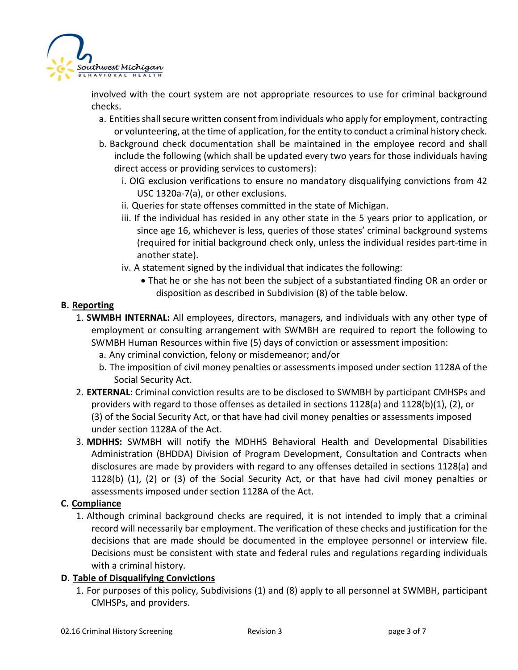

involved with the court system are not appropriate resources to use for criminal background checks.

- a. Entities shall secure written consent from individuals who apply for employment, contracting or volunteering, at the time of application, for the entity to conduct a criminal history check.
- b. Background check documentation shall be maintained in the employee record and shall include the following (which shall be updated every two years for those individuals having direct access or providing services to customers):
	- i. OIG exclusion verifications to ensure no mandatory disqualifying convictions from 42 USC 1320a-7(a), or other exclusions.
	- ii. Queries for state offenses committed in the state of Michigan.
	- iii. If the individual has resided in any other state in the 5 years prior to application, or since age 16, whichever is less, queries of those states' criminal background systems (required for initial background check only, unless the individual resides part-time in another state).
	- iv. A statement signed by the individual that indicates the following:
		- That he or she has not been the subject of a substantiated finding OR an order or disposition as described in Subdivision (8) of the table below.

## **B. Reporting**

- 1. **SWMBH INTERNAL:** All employees, directors, managers, and individuals with any other type of employment or consulting arrangement with SWMBH are required to report the following to SWMBH Human Resources within five (5) days of conviction or assessment imposition:
	- a. Any criminal conviction, felony or misdemeanor; and/or
	- b. The imposition of civil money penalties or assessments imposed under section 1128A of the Social Security Act.
- 2. **EXTERNAL:** Criminal conviction results are to be disclosed to SWMBH by participant CMHSPs and providers with regard to those offenses as detailed in sections 1128(a) and 1128(b)(1), (2), or (3) of the Social Security Act, or that have had civil money penalties or assessments imposed under section 1128A of the Act.
- 3. **MDHHS:** SWMBH will notify the MDHHS Behavioral Health and Developmental Disabilities Administration (BHDDA) Division of Program Development, Consultation and Contracts when disclosures are made by providers with regard to any offenses detailed in sections 1128(a) and 1128(b) (1), (2) or (3) of the Social Security Act, or that have had civil money penalties or assessments imposed under section 1128A of the Act.

## **C. Compliance**

1. Although criminal background checks are required, it is not intended to imply that a criminal record will necessarily bar employment. The verification of these checks and justification for the decisions that are made should be documented in the employee personnel or interview file. Decisions must be consistent with state and federal rules and regulations regarding individuals with a criminal history.

## **D. Table of Disqualifying Convictions**

1. For purposes of this policy, Subdivisions (1) and (8) apply to all personnel at SWMBH, participant CMHSPs, and providers.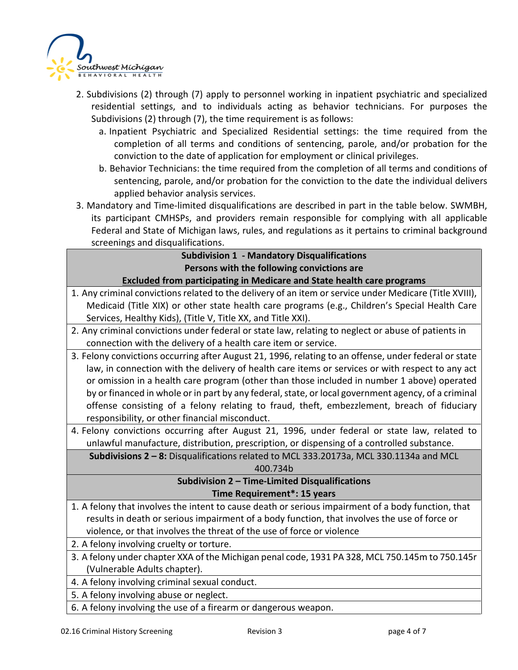

- 2. Subdivisions (2) through (7) apply to personnel working in inpatient psychiatric and specialized residential settings, and to individuals acting as behavior technicians. For purposes the Subdivisions (2) through (7), the time requirement is as follows:
	- a. Inpatient Psychiatric and Specialized Residential settings: the time required from the completion of all terms and conditions of sentencing, parole, and/or probation for the conviction to the date of application for employment or clinical privileges.
	- b. Behavior Technicians: the time required from the completion of all terms and conditions of sentencing, parole, and/or probation for the conviction to the date the individual delivers applied behavior analysis services.
- 3. Mandatory and Time-limited disqualifications are described in part in the table below. SWMBH, its participant CMHSPs, and providers remain responsible for complying with all applicable Federal and State of Michigan laws, rules, and regulations as it pertains to criminal background screenings and disqualifications.

| <b>Subdivision 1 - Mandatory Disqualifications</b>                                                      |  |  |  |  |
|---------------------------------------------------------------------------------------------------------|--|--|--|--|
| Persons with the following convictions are                                                              |  |  |  |  |
| <b>Excluded from participating in Medicare and State health care programs</b>                           |  |  |  |  |
| 1. Any criminal convictions related to the delivery of an item or service under Medicare (Title XVIII), |  |  |  |  |
| Medicaid (Title XIX) or other state health care programs (e.g., Children's Special Health Care          |  |  |  |  |
| Services, Healthy Kids), (Title V, Title XX, and Title XXI).                                            |  |  |  |  |
| 2. Any criminal convictions under federal or state law, relating to neglect or abuse of patients in     |  |  |  |  |
| connection with the delivery of a health care item or service.                                          |  |  |  |  |
| 3. Felony convictions occurring after August 21, 1996, relating to an offense, under federal or state   |  |  |  |  |
| law, in connection with the delivery of health care items or services or with respect to any act        |  |  |  |  |
| or omission in a health care program (other than those included in number 1 above) operated             |  |  |  |  |
| by or financed in whole or in part by any federal, state, or local government agency, of a criminal     |  |  |  |  |
| offense consisting of a felony relating to fraud, theft, embezzlement, breach of fiduciary              |  |  |  |  |
| responsibility, or other financial misconduct.                                                          |  |  |  |  |
| 4. Felony convictions occurring after August 21, 1996, under federal or state law, related to           |  |  |  |  |
| unlawful manufacture, distribution, prescription, or dispensing of a controlled substance.              |  |  |  |  |
| Subdivisions 2 - 8: Disqualifications related to MCL 333.20173a, MCL 330.1134a and MCL                  |  |  |  |  |
| 400.734b                                                                                                |  |  |  |  |
| Subdivision 2 - Time-Limited Disqualifications                                                          |  |  |  |  |
| Time Requirement*: 15 years                                                                             |  |  |  |  |
| 1. A felony that involves the intent to cause death or serious impairment of a body function, that      |  |  |  |  |
| results in death or serious impairment of a body function, that involves the use of force or            |  |  |  |  |
| violence, or that involves the threat of the use of force or violence                                   |  |  |  |  |
| 2. A felony involving cruelty or torture.                                                               |  |  |  |  |
| 3. A felony under chapter XXA of the Michigan penal code, 1931 PA 328, MCL 750.145m to 750.145r         |  |  |  |  |
| (Vulnerable Adults chapter).                                                                            |  |  |  |  |
| 4. A felony involving criminal sexual conduct.                                                          |  |  |  |  |
| 5. A felony involving abuse or neglect.                                                                 |  |  |  |  |
| 6. A felony involving the use of a firearm or dangerous weapon.                                         |  |  |  |  |
|                                                                                                         |  |  |  |  |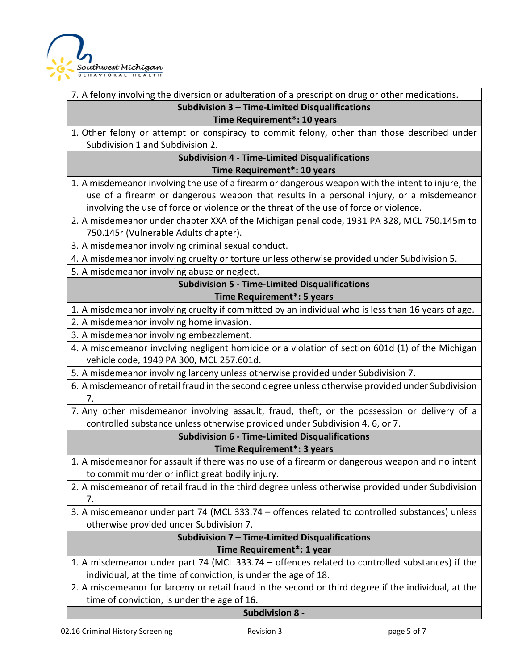

7. A felony involving the diversion or adulteration of a prescription drug or other medications.

## **Subdivision 3 – Time-Limited Disqualifications**

#### **Time Requirement\*: 10 years**

1. Other felony or attempt or conspiracy to commit felony, other than those described under Subdivision 1 and Subdivision 2.

#### **Subdivision 4 - Time-Limited Disqualifications Time Requirement\*: 10 years**

1. A misdemeanor involving the use of a firearm or dangerous weapon with the intent to injure, the use of a firearm or dangerous weapon that results in a personal injury, or a misdemeanor involving the use of force or violence or the threat of the use of force or violence.

2. A misdemeanor under chapter XXA of the Michigan penal code, 1931 PA 328, MCL 750.145m to 750.145r (Vulnerable Adults chapter).

3. A misdemeanor involving criminal sexual conduct.

4. A misdemeanor involving cruelty or torture unless otherwise provided under Subdivision 5.

5. A misdemeanor involving abuse or neglect.

## **Subdivision 5 - Time-Limited Disqualifications Time Requirement\*: 5 years**

1. A misdemeanor involving cruelty if committed by an individual who is less than 16 years of age.

2. A misdemeanor involving home invasion.

3. A misdemeanor involving embezzlement.

4. A misdemeanor involving negligent homicide or a violation of section 601d (1) of the Michigan vehicle code, 1949 PA 300, MCL 257.601d.

5. A misdemeanor involving larceny unless otherwise provided under Subdivision 7.

6. A misdemeanor of retail fraud in the second degree unless otherwise provided under Subdivision 7.

7. Any other misdemeanor involving assault, fraud, theft, or the possession or delivery of a controlled substance unless otherwise provided under Subdivision 4, 6, or 7.

# **Subdivision 6 - Time-Limited Disqualifications**

#### **Time Requirement\*: 3 years**

- 1. A misdemeanor for assault if there was no use of a firearm or dangerous weapon and no intent to commit murder or inflict great bodily injury.
- 2. A misdemeanor of retail fraud in the third degree unless otherwise provided under Subdivision 7.

3. A misdemeanor under part 74 (MCL 333.74 – offences related to controlled substances) unless otherwise provided under Subdivision 7.

### **Subdivision 7 – Time-Limited Disqualifications Time Requirement\*: 1 year**

- 1. A misdemeanor under part 74 (MCL 333.74 offences related to controlled substances) if the individual, at the time of conviction, is under the age of 18.
- 2. A misdemeanor for larceny or retail fraud in the second or third degree if the individual, at the time of conviction, is under the age of 16.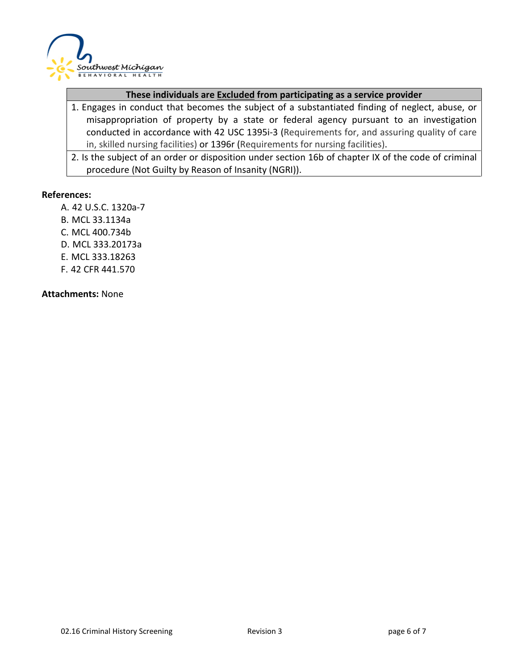

#### **These individuals are Excluded from participating as a service provider**

- 1. Engages in conduct that becomes the subject of a substantiated finding of neglect, abuse, or misappropriation of property by a state or federal agency pursuant to an investigation conducted in accordance with 42 USC 1395i-3 (Requirements for, and assuring quality of care in, skilled nursing facilities) or 1396r (Requirements for nursing facilities).
- 2. Is the subject of an order or disposition under section 16b of chapter IX of the code of criminal procedure (Not Guilty by Reason of Insanity (NGRI)).

#### **References:**

- A. 42 U.S.C. 1320a-7
- B. MCL 33.1134a
- C. MCL 400.734b
- D. MCL 333.20173a
- E. MCL 333.18263
- F. 42 CFR 441.570

**Attachments:** None